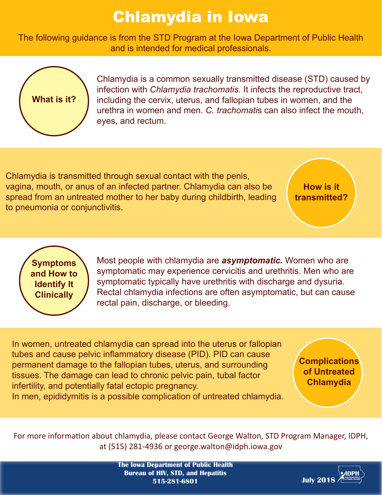## Chlamydia in Iowa

The following guidance is from the STD Program at the Iowa Department of Public Health and is intended for medical professionals.



Chlamydia is a common sexually transmitted disease (STD) caused by infection with *Chlamydia trachomatis.* It infects the reproductive tract, including the cervix, uterus, and fallopian tubes in women, and the urethra in women and men. *C. trachomati*s can also infect the mouth, eyes, and rectum.

Chlamydia is transmitted through sexual contact with the penis, vagina, mouth, or anus of an infected partner. Chlamydia can also be spread from an untreated mother to her baby during childbirth, leading to pneumonia or conjunctivitis.

**How is it transmitted?**

**Symptoms and How to Identify It Clinically**

Most people with chlamydia are *asymptomatic.* Women who are symptomatic may experience cervicitis and urethritis. Men who are symptomatic typically have urethritis with discharge and dysuria. Rectal chlamydia infections are often asymptomatic, but can cause rectal pain, discharge, or bleeding.

In women, untreated chlamydia can spread into the uterus or fallopian tubes and cause pelvic inflammatory disease (PID). PID can cause permanent damage to the fallopian tubes, uterus, and surrounding tissues. The damage can lead to chronic pelvic pain, tubal factor infertility, and potentially fatal ectopic pregnancy. In men, epididymitis is a possible complication of untreated chlamydia.

**Complications of Untreated Chlamydia**

For more information about chlamydia, please contact George Walton, STD Program Manager, IDPH, at (515) 281-4936 or george.walton@idph.iowa.gov